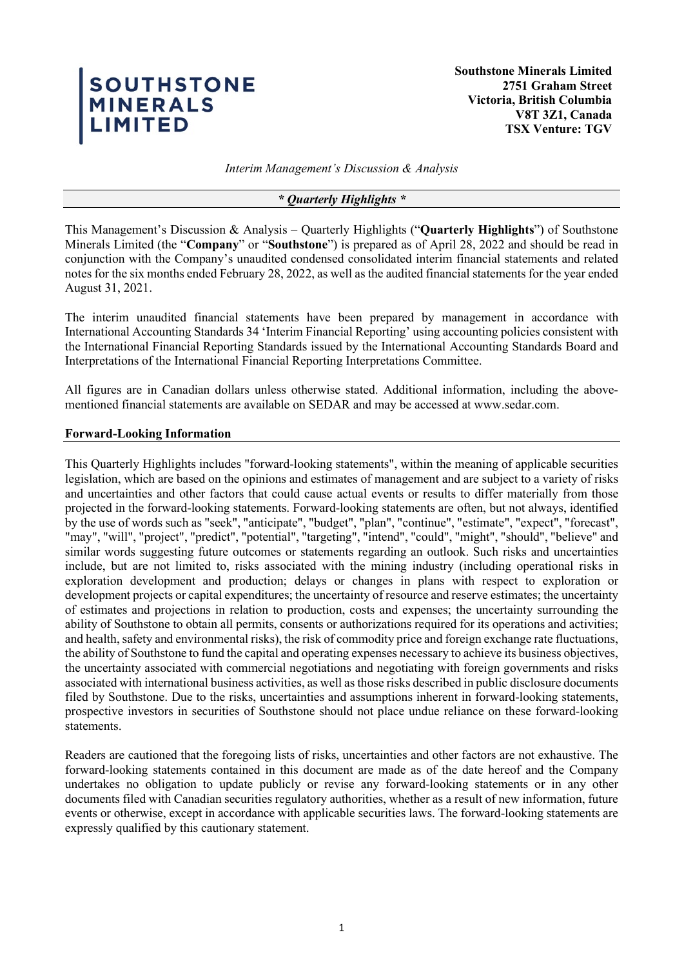# SOUTHSTONE<br>MINERALS<br>LIMITED

**Southstone Minerals Limited 2751 Graham Street Victoria, British Columbia V8T 3Z1, Canada TSX Venture: TGV**

*Interim Management's Discussion & Analysis* 

### *\* Quarterly Highlights \**

This Management's Discussion & Analysis – Quarterly Highlights ("**Quarterly Highlights**") of Southstone Minerals Limited (the "**Company**" or "**Southstone**") is prepared as of April 28, 2022 and should be read in conjunction with the Company's unaudited condensed consolidated interim financial statements and related notes for the six months ended February 28, 2022, as well as the audited financial statements for the year ended August 31, 2021.

The interim unaudited financial statements have been prepared by management in accordance with International Accounting Standards 34 'Interim Financial Reporting' using accounting policies consistent with the International Financial Reporting Standards issued by the International Accounting Standards Board and Interpretations of the International Financial Reporting Interpretations Committee.

All figures are in Canadian dollars unless otherwise stated. Additional information, including the abovementioned financial statements are available on SEDAR and may be accessed at www.sedar.com.

## **Forward-Looking Information**

This Quarterly Highlights includes "forward-looking statements", within the meaning of applicable securities legislation, which are based on the opinions and estimates of management and are subject to a variety of risks and uncertainties and other factors that could cause actual events or results to differ materially from those projected in the forward-looking statements. Forward-looking statements are often, but not always, identified by the use of words such as "seek", "anticipate", "budget", "plan", "continue", "estimate", "expect", "forecast", "may", "will", "project", "predict", "potential", "targeting", "intend", "could", "might", "should", "believe" and similar words suggesting future outcomes or statements regarding an outlook. Such risks and uncertainties include, but are not limited to, risks associated with the mining industry (including operational risks in exploration development and production; delays or changes in plans with respect to exploration or development projects or capital expenditures; the uncertainty of resource and reserve estimates; the uncertainty of estimates and projections in relation to production, costs and expenses; the uncertainty surrounding the ability of Southstone to obtain all permits, consents or authorizations required for its operations and activities; and health, safety and environmental risks), the risk of commodity price and foreign exchange rate fluctuations, the ability of Southstone to fund the capital and operating expenses necessary to achieve its business objectives, the uncertainty associated with commercial negotiations and negotiating with foreign governments and risks associated with international business activities, as well as those risks described in public disclosure documents filed by Southstone. Due to the risks, uncertainties and assumptions inherent in forward-looking statements, prospective investors in securities of Southstone should not place undue reliance on these forward-looking statements.

Readers are cautioned that the foregoing lists of risks, uncertainties and other factors are not exhaustive. The forward-looking statements contained in this document are made as of the date hereof and the Company undertakes no obligation to update publicly or revise any forward-looking statements or in any other documents filed with Canadian securities regulatory authorities, whether as a result of new information, future events or otherwise, except in accordance with applicable securities laws. The forward-looking statements are expressly qualified by this cautionary statement.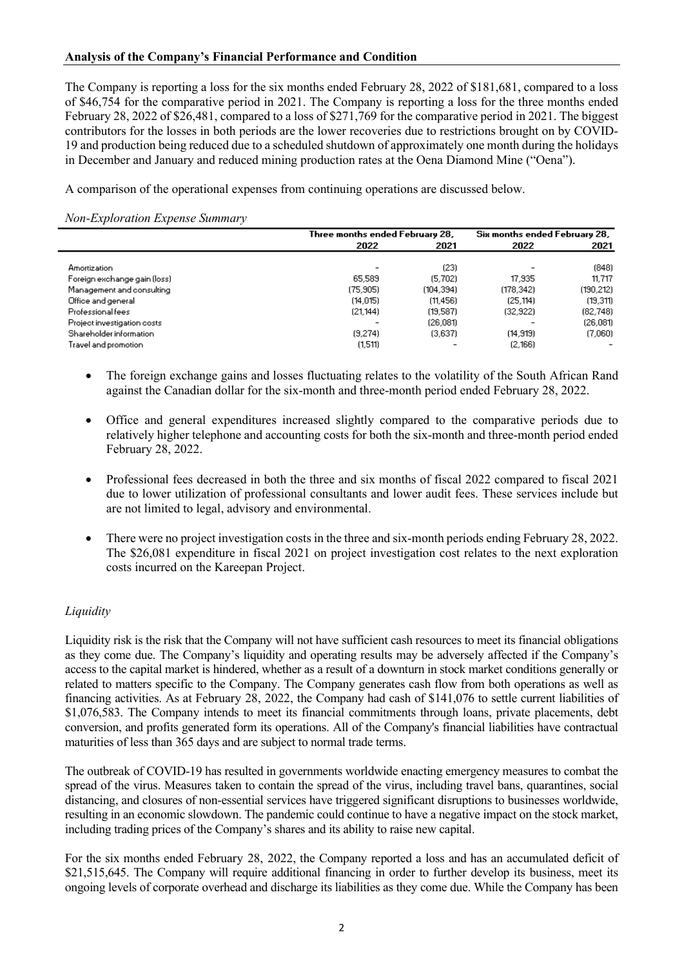# **Analysis of the Company's Financial Performance and Condition**

The Company is reporting a loss for the six months ended February 28, 2022 of \$181,681, compared to a loss of \$46,754 for the comparative period in 2021. The Company is reporting a loss for the three months ended February 28, 2022 of \$26,481, compared to a loss of \$271,769 for the comparative period in 2021. The biggest contributors for the losses in both periods are the lower recoveries due to restrictions brought on by COVID-19 and production being reduced due to a scheduled shutdown of approximately one month during the holidays in December and January and reduced mining production rates at the Oena Diamond Mine ("Oena").

A comparison of the operational expenses from continuing operations are discussed below.

*Non-Exploration Expense Summary*

|                              | Three months ended February 28, |            | Six months ended February 28, |           |
|------------------------------|---------------------------------|------------|-------------------------------|-----------|
|                              | 2022                            | 2021       | 2022                          | 2021      |
|                              |                                 |            |                               |           |
| <b>Amortization</b>          | ٠                               | (23)       |                               | (848)     |
| Foreign exchange gain (loss) | 65,589                          | (5.702)    | 17,935                        | 11.717    |
| Management and consulting    | (75.905)                        | (104, 394) | (178.342)                     | (190.212) |
| Office and general           | (14.015)                        | (11.456)   | (25.114)                      | (19, 311) |
| Professional fees            | (21, 144)                       | (19,587)   | (32, 922)                     | (82, 748) |
| Project investigation costs  | -                               | (26.081)   |                               | (26.081)  |
| Shareholder information      | (9.274)                         | (3.637)    | (14, 919)                     | (7,060)   |
| Travel and promotion         | (1,511)                         |            | (2,166)                       |           |

- The foreign exchange gains and losses fluctuating relates to the volatility of the South African Rand against the Canadian dollar for the six-month and three-month period ended February 28, 2022.
- Office and general expenditures increased slightly compared to the comparative periods due to relatively higher telephone and accounting costs for both the six-month and three-month period ended February 28, 2022.
- Professional fees decreased in both the three and six months of fiscal 2022 compared to fiscal 2021 due to lower utilization of professional consultants and lower audit fees. These services include but are not limited to legal, advisory and environmental.
- There were no project investigation costs in the three and six-month periods ending February 28, 2022. The \$26,081 expenditure in fiscal 2021 on project investigation cost relates to the next exploration costs incurred on the Kareepan Project.

# *Liquidity*

Liquidity risk is the risk that the Company will not have sufficient cash resources to meet its financial obligations as they come due. The Company's liquidity and operating results may be adversely affected if the Company's access to the capital market is hindered, whether as a result of a downturn in stock market conditions generally or related to matters specific to the Company. The Company generates cash flow from both operations as well as financing activities. As at February 28, 2022, the Company had cash of \$141,076 to settle current liabilities of \$1,076,583. The Company intends to meet its financial commitments through loans, private placements, debt conversion, and profits generated form its operations. All of the Company's financial liabilities have contractual maturities of less than 365 days and are subject to normal trade terms.

The outbreak of COVID-19 has resulted in governments worldwide enacting emergency measures to combat the spread of the virus. Measures taken to contain the spread of the virus, including travel bans, quarantines, social distancing, and closures of non-essential services have triggered significant disruptions to businesses worldwide, resulting in an economic slowdown. The pandemic could continue to have a negative impact on the stock market, including trading prices of the Company's shares and its ability to raise new capital.

For the six months ended February 28, 2022, the Company reported a loss and has an accumulated deficit of \$21,515,645. The Company will require additional financing in order to further develop its business, meet its ongoing levels of corporate overhead and discharge its liabilities as they come due. While the Company has been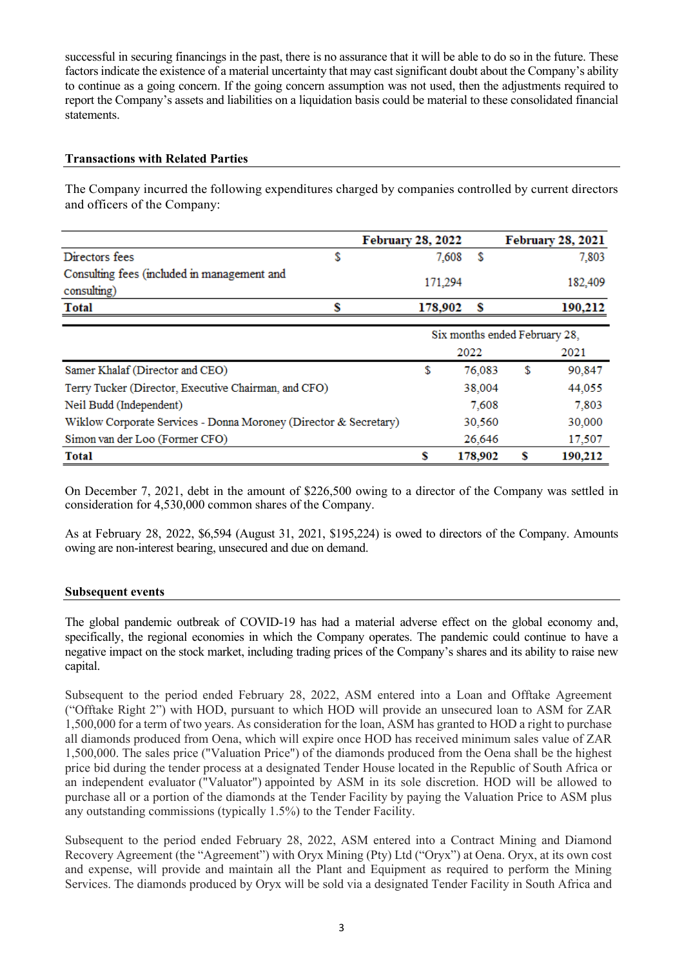successful in securing financings in the past, there is no assurance that it will be able to do so in the future. These factors indicate the existence of a material uncertainty that may cast significant doubt about the Company's ability to continue as a going concern. If the going concern assumption was not used, then the adjustments required to report the Company's assets and liabilities on a liquidation basis could be material to these consolidated financial statements.

# **Transactions with Related Parties**

The Company incurred the following expenditures charged by companies controlled by current directors and officers of the Company:

|                                                                  | <b>February 28, 2022</b> |                               |    | <b>February 28, 2021</b> |  |
|------------------------------------------------------------------|--------------------------|-------------------------------|----|--------------------------|--|
| Directors fees<br>\$                                             | 7,608                    | S                             |    | 7,803                    |  |
| Consulting fees (included in management and<br>consulting)       | 171,294                  |                               |    | 182,409                  |  |
| s<br><b>Total</b>                                                | 178,902                  | s                             |    | 190.212                  |  |
|                                                                  |                          | Six months ended February 28, |    |                          |  |
|                                                                  |                          | 2022                          |    | 2021                     |  |
| Samer Khalaf (Director and CEO)                                  | \$                       | 76,083                        | \$ | 90,847                   |  |
| Terry Tucker (Director, Executive Chairman, and CFO)             |                          | 38,004                        |    | 44,055                   |  |
| Neil Budd (Independent)                                          |                          | 7,608                         |    | 7,803                    |  |
| Wiklow Corporate Services - Donna Moroney (Director & Secretary) |                          | 30,560                        |    | 30,000                   |  |
| Simon van der Loo (Former CFO)                                   |                          | 26,646                        |    | 17,507                   |  |
| <b>Total</b>                                                     | \$                       | 178,902                       | S  | 190,212                  |  |

On December 7, 2021, debt in the amount of \$226,500 owing to a director of the Company was settled in consideration for 4,530,000 common shares of the Company.

As at February 28, 2022, \$6,594 (August 31, 2021, \$195,224) is owed to directors of the Company. Amounts owing are non-interest bearing, unsecured and due on demand.

## **Subsequent events**

The global pandemic outbreak of COVID-19 has had a material adverse effect on the global economy and, specifically, the regional economies in which the Company operates. The pandemic could continue to have a negative impact on the stock market, including trading prices of the Company's shares and its ability to raise new capital.

Subsequent to the period ended February 28, 2022, ASM entered into a Loan and Offtake Agreement ("Offtake Right 2") with HOD, pursuant to which HOD will provide an unsecured loan to ASM for ZAR 1,500,000 for a term of two years. As consideration for the loan, ASM has granted to HOD a right to purchase all diamonds produced from Oena, which will expire once HOD has received minimum sales value of ZAR 1,500,000. The sales price ("Valuation Price") of the diamonds produced from the Oena shall be the highest price bid during the tender process at a designated Tender House located in the Republic of South Africa or an independent evaluator ("Valuator") appointed by ASM in its sole discretion. HOD will be allowed to purchase all or a portion of the diamonds at the Tender Facility by paying the Valuation Price to ASM plus any outstanding commissions (typically 1.5%) to the Tender Facility.

Subsequent to the period ended February 28, 2022, ASM entered into a Contract Mining and Diamond Recovery Agreement (the "Agreement") with Oryx Mining (Pty) Ltd ("Oryx") at Oena. Oryx, at its own cost and expense, will provide and maintain all the Plant and Equipment as required to perform the Mining Services. The diamonds produced by Oryx will be sold via a designated Tender Facility in South Africa and